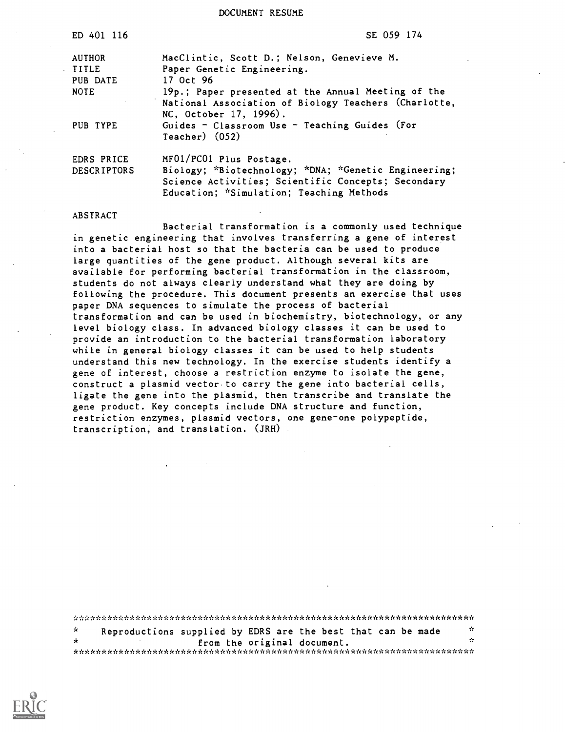DOCUMENT RESUME

| ED 401 116         | SE 059 174                                           |
|--------------------|------------------------------------------------------|
| <b>AUTHOR</b>      | MacClintic, Scott D.; Nelson, Genevieve M.           |
| <b>TITLE</b>       | Paper Genetic Engineering.                           |
| PUB DATE           | 17 Oct 96                                            |
| <b>NOTE</b>        | 19p.; Paper presented at the Annual Meeting of the   |
|                    | National Association of Biology Teachers (Charlotte, |
|                    | NC, October 17, 1996).                               |
| PUB TYPE           | Guides - Classroom Use - Teaching Guides (For        |
|                    | $Teacher)$ $(052)$                                   |
| EDRS PRICE         | MF01/PC01 Plus Postage.                              |
| <b>DESCRIPTORS</b> | Biology; *Biotechnology; *DNA; *Genetic Engineering; |
|                    | Science Activities; Scientific Concepts; Secondary   |
|                    | Education; *Simulation; Teaching Methods             |
|                    |                                                      |

#### ABSTRACT

Bacterial transformation is a commonly used technique in genetic engineering that involves transferring a gene of interest into a bacterial host so that the bacteria can be used to produce large quantities of the gene product. Although several kits are available for performing bacterial transformation in the classroom, students do not always clearly understand what they are doing by following the procedure. This document presents an exercise that uses paper DNA sequences to simulate the process of bacterial transformation and can be used in biochemistry, biotechnology, or any level biology class. In advanced biology classes it can be used to provide an introduction to the bacterial transformation laboratory while in general biology classes it can be used to help students understand this new technology. In the exercise students identify a gene of interest, choose a restriction enzyme to isolate the gene, construct a plasmid vector to carry the gene into bacterial cells, ligate the gene into the plasmid, then transcribe and translate the gene product. Key concepts include DNA structure and function, restriction enzymes, plasmid vectors, one gene-one polypeptide, transcription, and translation. (JRH)

|               | Reproductions supplied by EDRS are the best that can be made |  |                             | - 26 |  |
|---------------|--------------------------------------------------------------|--|-----------------------------|------|--|
| $\mathcal{R}$ |                                                              |  | from the original document. | ÷    |  |
|               |                                                              |  |                             |      |  |

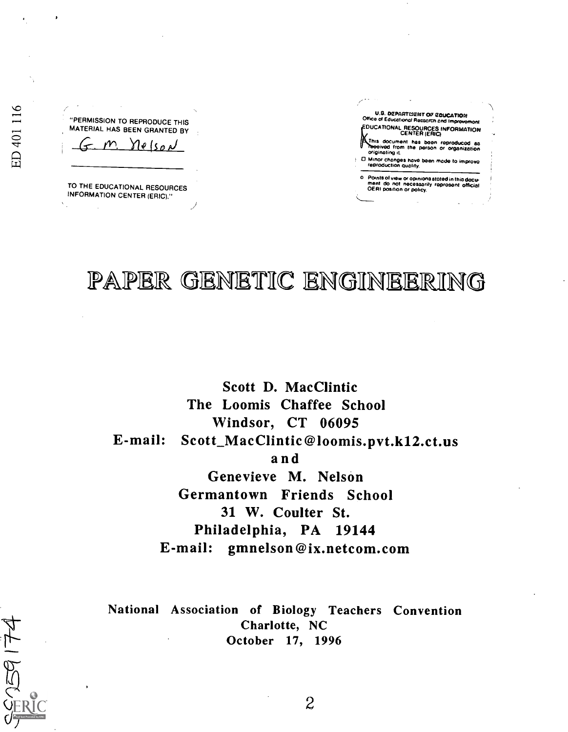"PERMISSION TO REPRODUCE THIS MATERIAL HAS BEEN GRANTED BY

 $f-m$  Nelson

TO THE EDUCATIONAL RESOURCES INFORMATION CENTER (ERIC)."

U.G. OEPARTBIENT OF EDUCATION OF SALE OF STREET OF EDUCATION OF STREET OF STREET OF STREET OF STREET OF STREET OF STREET OF STREET OF STREET OF STREET OF STREET OF STREET OF STREET OF STREET OF STREET OF STREET OF STREET O **DUCATIONAL RESOURCES INFORMATION** This document has been reproduced as<br>This document has been reproduced as<br>originating it originating it 0 Minor changes hove been mode to improve reproduction Quality.

o Points of view or opinions stated in this docu- ment do not necessarily reproaent official OER) position or policy.

PAPER GENETIC ENGINEERING

 $2\pi$  and  $2\pi$ 

Scott D. MacClintic The Loomis Chaffee School Windsor, CT 06095 E-mail: Scott\_ MacClintic @loomis.pvt.k12.ct.us and Genevieve M. Nelson Germantown Friends School 31 W. Coulter St. Philadelphia, PA 19144 E-mail: gmnelson @ix.netcom.com

National Association of Biology Teachers Convention Charlotte, NC October 17, 1996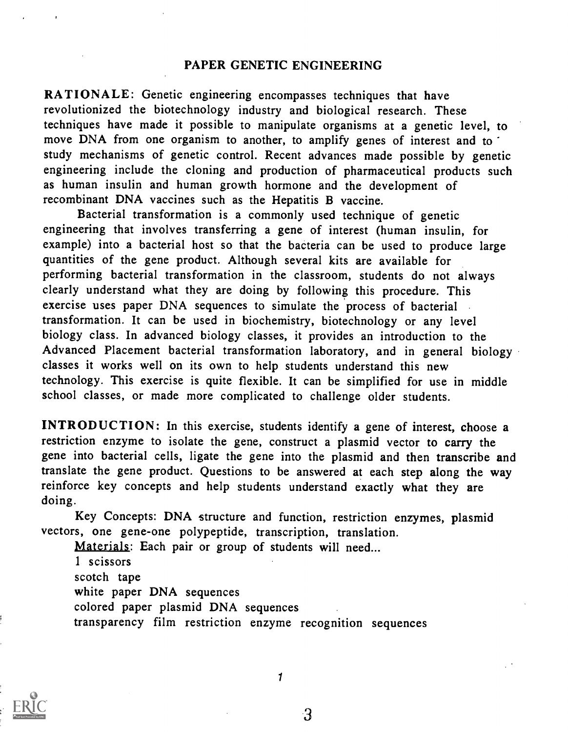#### PAPER GENETIC ENGINEERING

RATIONALE: Genetic engineering encompasses techniques that have revolutionized the biotechnology industry and biological research. These techniques have made it possible to manipulate organisms at a genetic level, to move DNA from one organism to another, to amplify genes of interest and to study mechanisms of genetic control. Recent advances made possible by genetic engineering include the cloning and production of pharmaceutical products such as human insulin and human growth hormone and the development of recombinant DNA vaccines such as the Hepatitis B vaccine.

Bacterial transformation is a commonly used technique of genetic engineering that involves transferring a gene of interest (human insulin, for example) into a bacterial host so that the bacteria can be used to produce large quantities of the gene product. Although several kits are available for performing bacterial transformation in the classroom, students do not always clearly understand what they are doing by following this procedure. This exercise uses paper DNA sequences to simulate the process of bacterial transformation. It can be used in biochemistry, biotechnology or any level biology class. In advanced biology classes, it provides an introduction to the Advanced Placement bacterial transformation laboratory, and in general biology classes it works well on its own to help students understand this new technology. This exercise is quite flexible. It can be simplified for use in middle school classes, or made more complicated to challenge older students.

INTRODUCTION: In this exercise, students identify a gene of interest, choose a restriction enzyme to isolate the gene, construct a plasmid vector to carry the gene into bacterial cells, ligate the gene into the plasmid and then transcribe and translate the gene product. Questions to be answered at each step along the way reinforce key concepts and help students understand exactly what they are doing.

Key Concepts: DNA structure and function, restriction enzymes, plasmid vectors, one gene-one polypeptide, transcription, translation.

Materials: Each pair or group of students will need...

<sup>1</sup> scissors scotch tape white paper DNA sequences colored paper plasmid DNA sequences transparency film restriction enzyme recognition sequences



1

़3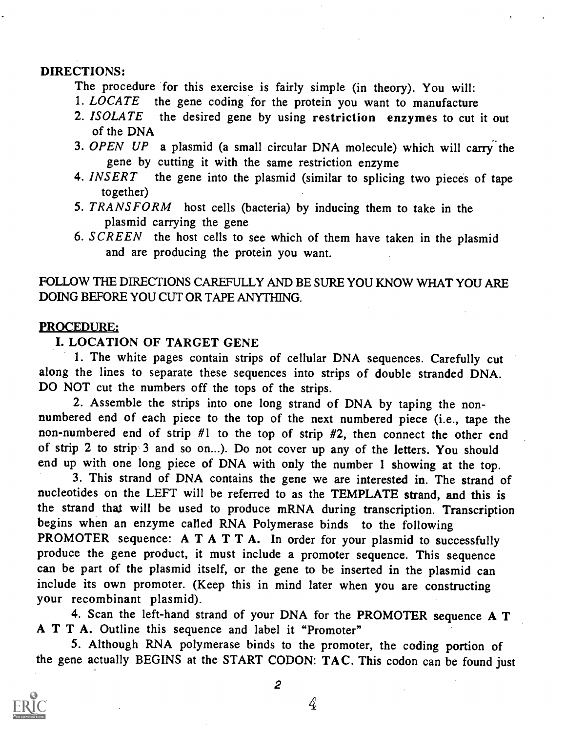# DIRECTIONS:

The procedure for this exercise is fairly simple (in theory). You will:<br>1. LOCATE the gene coding for the protein you want to manufacture

- the gene coding for the protein you want to manufacture
- 2. ISOLATE the desired gene by using restriction enzymes to cut it out of the DNA
- 3. OPEN UP a plasmid (a small circular DNA molecule) which will carry the gene by cutting it with the same restriction enzyme
- 4. INSERT the gene into the plasmid (similar to splicing two pieces of tape together)
- 5. TRANSFORM host cells (bacteria) by inducing them to take in the plasmid carrying the gene
- 6. SCREEN the host cells to see which of them have taken in the plasmid and are producing the protein you want.

# FOLLOW THE DIRECTIONS CAREFULLY AND BE SURE YOU KNOW WHAT YOU ARE DOING BEFORE YOU CUT OR TAPE ANYTHING.

# PROCEDURE:

# I. LOCATION OF TARGET GENE

1. The white pages contain strips of cellular DNA sequences. Carefully cut along the lines to separate these sequences into strips of double stranded DNA. DO NOT cut the numbers off the tops of the strips.

2. Assemble the strips into one long strand of DNA by taping the nonnumbered end of each piece to the top of the next numbered piece (i.e., tape the non-numbered end of strip #1 to the top of strip #2, then connect the other end of strip 2 to strip 3 and so on...). Do not cover up any of the letters. You should end up with one long piece of DNA with only the number 1 showing at the top.

3. This strand of DNA contains the gene we are interested in. The strand of nucleotides on the LEFT will be referred to as the TEMPLATE strand, and this is the strand that will be used to produce mRNA during transcription. Transcription begins when an enzyme called RNA Polymerase binds to the following PROMOTER sequence:  $A T A T T A$ . In order for your plasmid to successfully produce the gene product, it must include a promoter sequence. This sequence can be part of the plasmid itself, or the gene to be inserted in the plasmid can include its own promoter. (Keep this in mind later when you are constructing your recombinant plasmid).

4. Scan the left-hand strand of your DNA for the PROMOTER sequence A T A T T A. Outline this sequence and label it "Promoter"

5. Although RNA polymerase binds to the promoter, the coding portion of the gene actually BEGINS at the START CODON: TAC. This codon can be found just



2

 $\oint$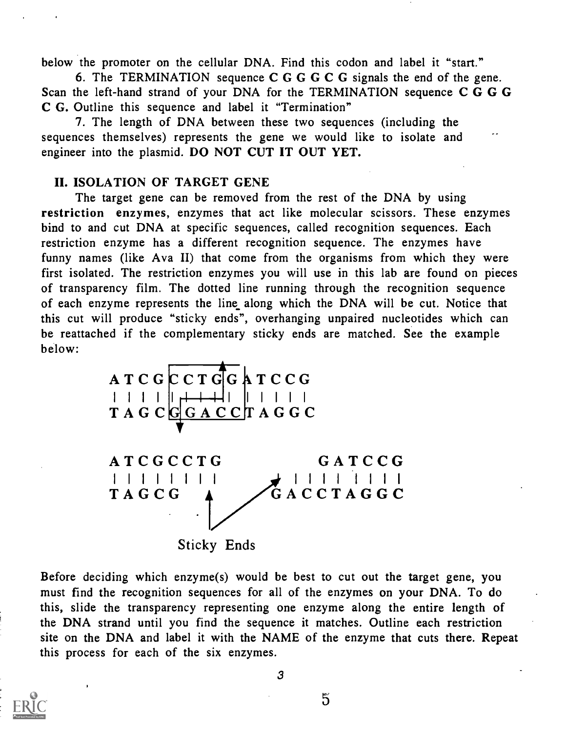below the promoter on the cellular DNA. Find this codon and label it "start."

6. The TERMINATION sequence C G G G C G signals the end of the gene. Scan the left-hand strand of your DNA for the TERMINATION sequence C G G G C G. Outline this sequence and label it "Termination"

7. The length of DNA between these two sequences (including the sequences themselves) represents the gene we would like to isolate and engineer into the plasmid. DO NOT CUT IT OUT YET.

#### II. ISOLATION OF TARGET GENE

The target gene can be removed from the rest of the DNA by using restriction enzymes, enzymes that act like molecular scissors. These enzymes bind to and cut DNA at specific sequences, called recognition sequences. Each restriction enzyme has a different recognition sequence. The enzymes have funny names (like Ava II) that come from the organisms from which they were first isolated. The restriction enzymes you will use in this lab are found on pieces of transparency film. The dotted line running through the recognition sequence of each enzyme represents the line along which the DNA will be cut. Notice that this cut will produce "sticky ends", overhanging unpaired nucleotides which can be reattached if the complementary sticky ends are matched. See the example below:



Before deciding which enzyme(s) would be best to cut out the target gene, you must find the recognition sequences for all of the enzymes on your DNA. To do this, slide the transparency representing one enzyme along the entire length of the DNA strand until you find the sequence it matches. Outline each restriction site on the DNA and label it with the NAME of the enzyme that cuts there. Repeat this process for each of the six enzymes.

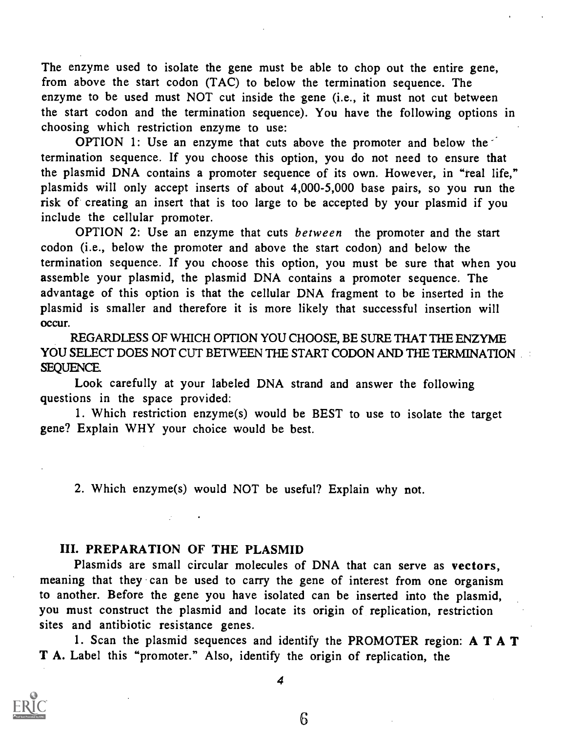The enzyme used to isolate the gene must be able to chop out the entire gene, from above the start codon (TAC) to below the termination sequence. The enzyme to be used must NOT cut inside the gene (i.e., it must not cut between the start codon and the termination sequence). You have the following options in choosing which restriction enzyme to use:

OPTION 1: Use an enzyme that cuts above the promoter and below the termination sequence. If you choose this option, you do not need to ensure that the plasmid DNA contains a promoter sequence of its own. However, in "real life," plasmids will only accept inserts of about 4,000-5,000 base pairs, so you run the risk of creating an insert that is too large to be accepted by your plasmid if you include the cellular promoter.

OPTION 2: Use an enzyme that cuts between the promoter and the start codon (i.e., below the promoter and above the start codon) and below the termination sequence. If you choose this option, you must be sure that when you assemble your plasmid, the plasmid DNA contains a promoter sequence. The advantage of this option is that the cellular DNA fragment to be inserted in the plasmid is smaller and therefore it is more likely that successful insertion will occur.

REGARDLESS OF WHICH OPTION YOU CHOOSE, BE SURE THAT THE ENZYME YOU SELECT DOES NOT CUT BETWEEN THE START CODON AND THE TERMINATION SEQUENCE

Look carefully at your labeled DNA strand and answer the following questions in the space provided:

1. Which restriction enzyme(s) would be BEST to use to isolate the target gene? Explain WHY your choice would be best.

2. Which enzyme(s) would NOT be useful? Explain why not.

### III. PREPARATION OF THE PLASMID

Plasmids are small circular molecules of DNA that can serve as vectors, meaning that they can be used to carry the gene of interest from one organism to another. Before the gene you have isolated can be inserted into the plasmid, you must construct the plasmid and locate its origin of replication, restriction sites and antibiotic resistance genes.

1. Scan the plasmid sequences and identify the PROMOTER region: A T A T T A. Label this "promoter." Also, identify the origin of replication, the



4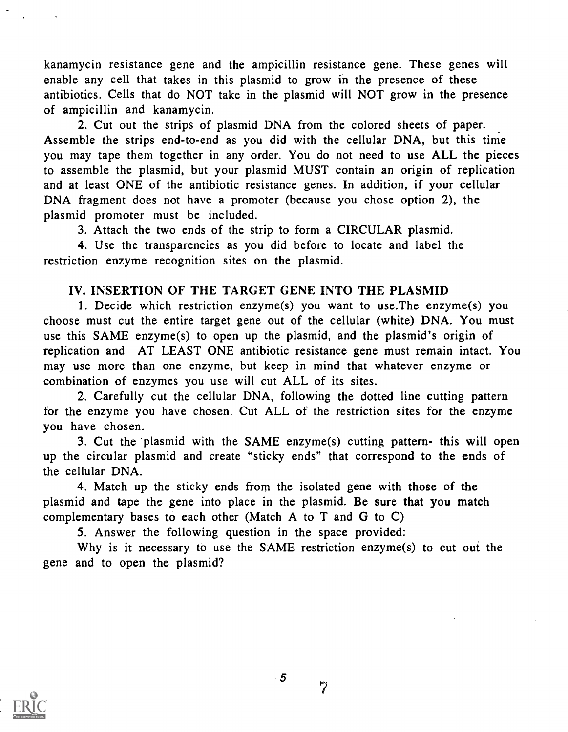kanamycin resistance gene and the ampicillin resistance gene. These genes will enable any cell that takes in this plasmid to grow in the presence of these antibiotics. Cells that do NOT take in the plasmid will NOT grow in the presence of ampicillin and kanamycin.

2. Cut out the strips of plasmid DNA from the colored sheets of paper. Assemble the strips end-to-end as you did with the cellular DNA, but this time you may tape them together in any order. You do not need to use ALL the pieces to assemble the plasmid, but your plasmid MUST contain an origin of replication and at least ONE of the antibiotic resistance genes. In addition, if your cellular DNA fragment does not have a promoter (because you chose option 2), the plasmid promoter must be included.

3. Attach the two ends of the strip to form a CIRCULAR plasmid.

4. Use the transparencies as you did before to locate and label the restriction enzyme recognition sites on the plasmid.

## IV. INSERTION OF THE TARGET GENE INTO THE PLASMID

1. Decide which restriction enzyme(s) you want to use.The enzyme(s) you choose must cut the entire target gene out of the cellular (white) DNA. You must use this SAME enzyme(s) to open up the plasmid, and the plasmid's origin of replication and AT LEAST ONE antibiotic resistance gene must remain intact. You may use more than one enzyme, but keep in mind that whatever enzyme or combination of enzymes you use will cut ALL of its sites.

2. Carefully cut the cellular DNA, following the dotted line cutting pattern for the enzyme you have chosen. Cut ALL of the restriction sites for the enzyme you have chosen.

3. Cut the plasmid with the SAME enzyme(s) cutting pattern- this will open up the circular plasmid and create "sticky ends" that correspond to the ends of the cellular DNA:

4. Match up the sticky ends from the isolated gene with those of the plasmid and tape the gene into place in the plasmid. Be sure that you match complementary bases to each other (Match A to T and G to C)

5. Answer the following question in the space provided:

Why is it necessary to use the SAME restriction enzyme(s) to cut out the gene and to open the plasmid?



 $\cdot$  5

 $\overline{7}$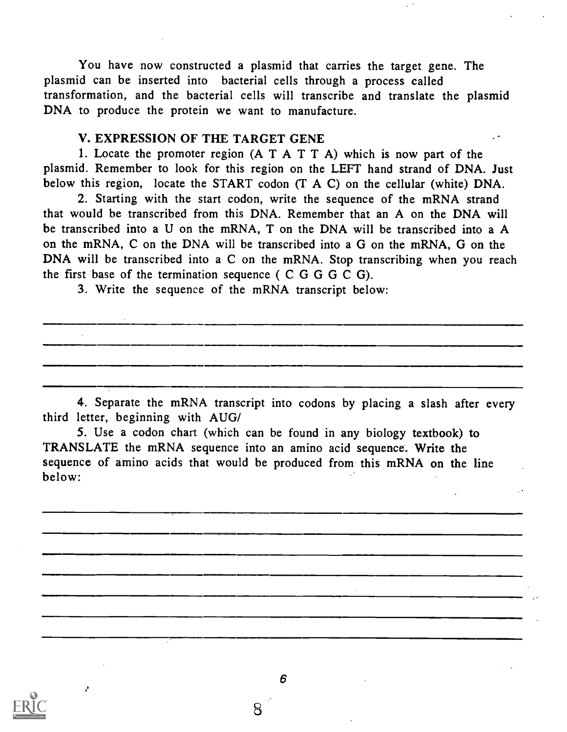You have now constructed a plasmid that carries the target gene. The plasmid can be inserted into bacterial cells through a process called transformation, and the bacterial cells will transcribe and translate the plasmid DNA to produce the protein we want to manufacture.

#### V. EXPRESSION OF THE TARGET GENE

1. Locate the promoter region  $(A T A T T A)$  which is now part of the plasmid. Remember to look for this region on the LEFT hand strand of DNA. Just below this region, locate the START codon (T A C) on the cellular (white) DNA.

2. Starting with the start codon, write the sequence of the mRNA strand that would be transcribed from this DNA. Remember that an A on the DNA will be transcribed into a U on the mRNA, T on the DNA will be transcribed into a A on the mRNA, C on the DNA will be transcribed into a G on the mRNA, G on the DNA will be transcribed into a C on the mRNA. Stop transcribing when you reach the first base of the termination sequence ( $C$ GGGCG).

3. Write the sequence of the mRNA transcript below:

4. Separate the mRNA transcript into codons by placing a slash after every third letter, beginning with AUG/

5. Use a codon chart (which can be found in any biology textbook) to TRANSLATE the mRNA sequence into an amino acid sequence. Write the sequence of amino acids that would be produced from this mRNA on the line below:



þ,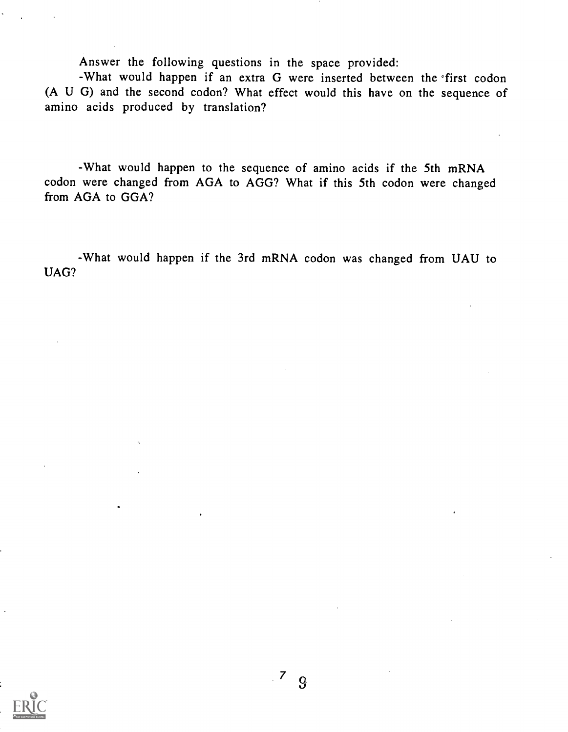Answer the following questions in the space provided:

-What would happen if an extra G were inserted between the 'first codon (A U G) and the second codon? What effect would this have on the sequence of amino acids produced by translation?

-What would happen to the sequence of amino acids if the 5th mRNA codon were changed from AGA to AGG? What if this 5th codon were changed from AGA to GGA?

-What would happen if the 3rd mRNA codon was changed from UAU to UAG?

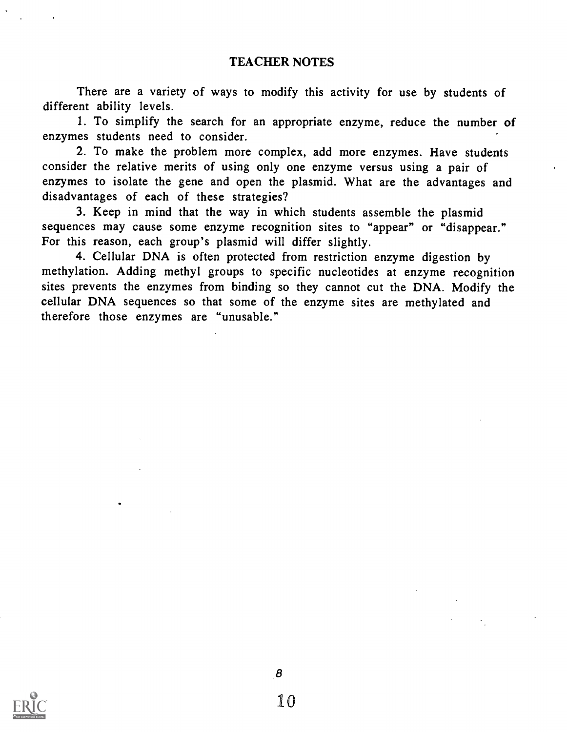There are a variety of ways to modify this activity for use by students of different ability levels.

1. To simplify the search for an appropriate enzyme, reduce the number of enzymes students need to consider.

2. To make the problem more complex, add more enzymes. Have students consider the relative merits of using only one enzyme versus using a pair of enzymes to isolate the gene and open the plasmid. What are the advantages and disadvantages of each of these strategies?

3. Keep in mind that the way in which students assemble the plasmid sequences may cause some enzyme recognition sites to "appear" or "disappear." For this reason, each group's plasmid will differ slightly.

4. Cellular DNA is often protected from restriction enzyme digestion by methylation. Adding methyl groups to specific nucleotides at enzyme recognition sites prevents the enzymes from binding so they cannot cut the DNA. Modify the cellular DNA sequences so that some of the enzyme sites are methylated and therefore those enzymes are "unusable."

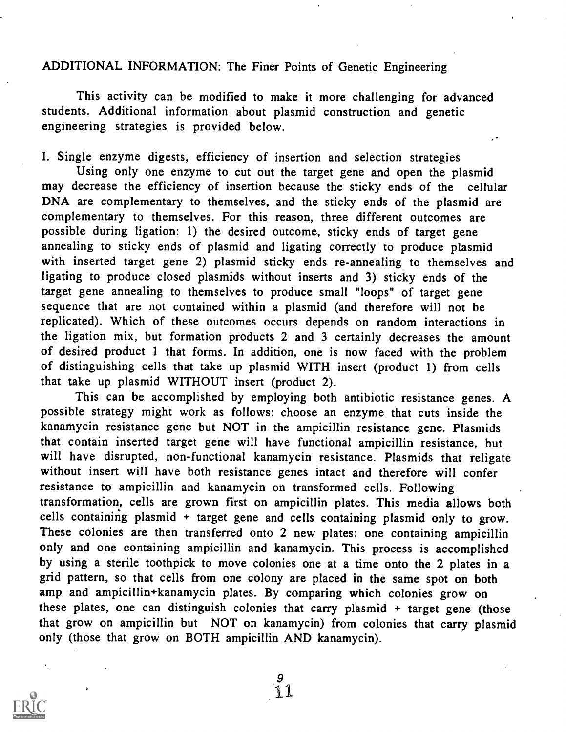### ADDITIONAL INFORMATION: The Finer Points of Genetic Engineering

This activity can be modified to make it more challenging for advanced students. Additional information about plasmid construction and genetic engineering strategies is provided below.

I. Single enzyme digests, efficiency of insertion and selection strategies

Using only one enzyme to cut out the target gene and open the plasmid may decrease the efficiency of insertion because the sticky ends of the cellular DNA are complementary to themselves, and the sticky ends of the plasmid are complementary to themselves. For this reason, three different outcomes are possible during ligation: 1) the desired outcome, sticky ends of target gene annealing to sticky ends of plasmid and ligating correctly to produce plasmid with inserted target gene 2) plasmid sticky ends re-annealing to themselves and ligating to produce closed plasmids without inserts and 3) sticky ends of the target gene annealing to themselves to produce small "loops" of target gene sequence that are not contained within a plasmid (and therefore will not be replicated). Which of these outcomes occurs depends on random interactions in the ligation mix, but formation products 2 and 3 certainly decreases the amount of desired product 1 that forms. In addition, one is now faced with the problem of distinguishing cells that take up plasmid WITH insert (product 1) from cells that take up plasmid WITHOUT insert (product 2).

This can be accomplished by employing both antibiotic resistance genes. A possible strategy might work as follows: choose an enzyme that cuts inside the kanamycin resistance gene but NOT in the ampicillin resistance gene. Plasmids that contain inserted target gene will have functional ampicillin resistance, but will have disrupted, non-functional kanamycin resistance. Plasmids that religate without insert will have both resistance genes intact and therefore will confer resistance to ampicillin and kanamycin on transformed cells. Following transformation, cells are grown first on ampicillin plates. This media allows both cells containing plasmid + target gene and cells containing plasmid only to grow. These colonies are then transferred onto 2 new plates: one containing ampicillin only and one containing ampicillin and kanamycin. This process is accomplished by using a sterile toothpick to move colonies one at a time onto the 2 plates in a grid pattern, so that cells from one colony are placed in the same spot on both amp and ampicillin+kanamycin plates. By comparing which colonies grow on these plates, one can distinguish colonies that carry plasmid + target gene (those that grow on ampicillin but NOT on kanamycin) from colonies that carry plasmid only (those that grow on BOTH ampicillin AND kanamycin).

9

I1

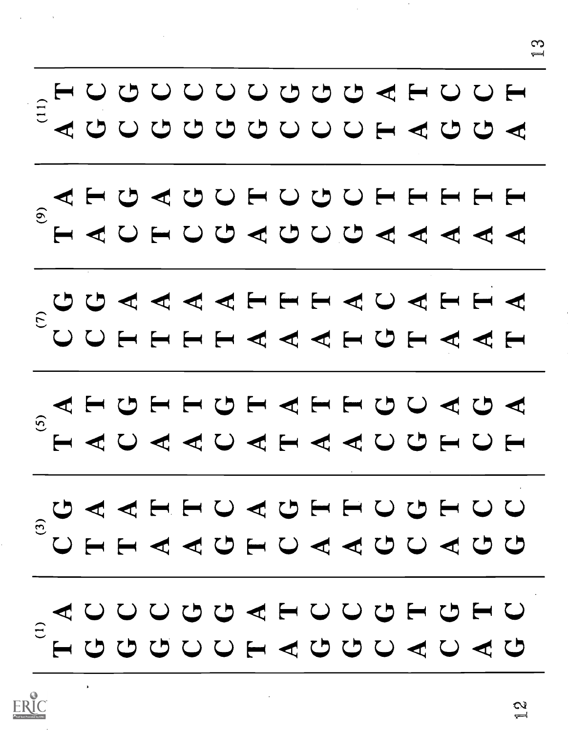

ERIC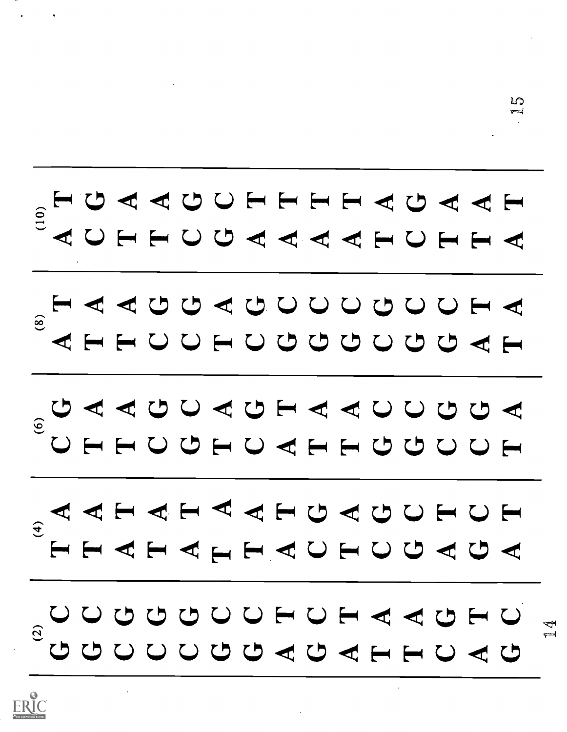

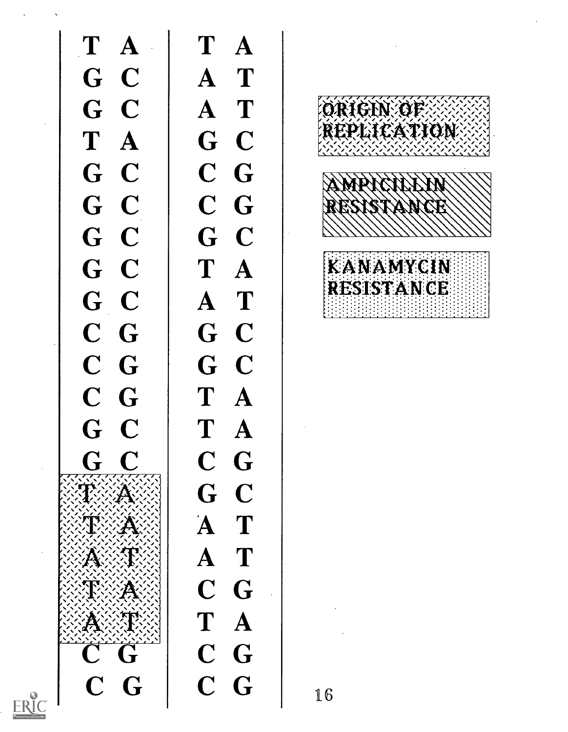

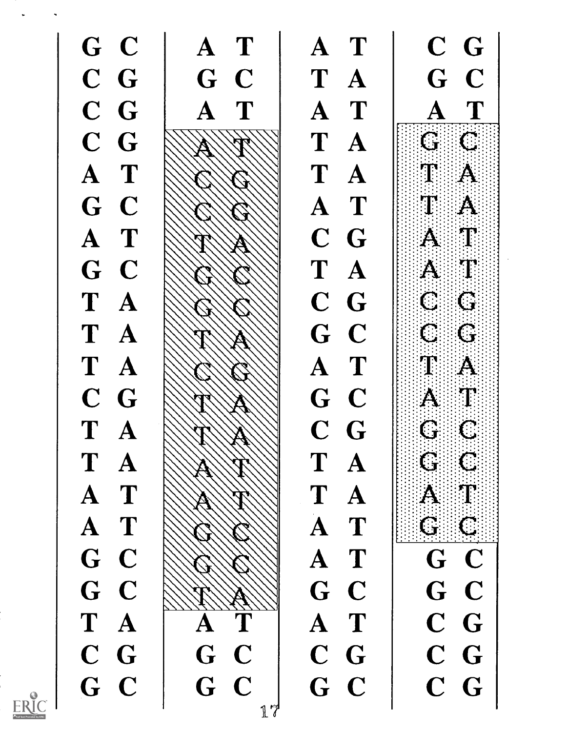C.) 41 4t El\* 4e U E-0 Cs) E-1 4t1 L'7 4t U C7 c.) ( L7 cs N ci) F C,) d 4tC d U 4tt 4et H Emi U U 4tt U U c.) 4tt 4tt Emi En\* H U Emi Emi -et -et Emi $\begin{array}{lcl} \begin{array}{lcl} \mathbf{A} & \mathbf{C} & \mathbf{C} \ \mathbf{A} & \mathbf{C} & \mathbf{C} \ \mathbf{A} & \mathbf{A} & \mathbf{C} & \mathbf{C} \ \mathbf{C} & \mathbf{C} & \mathbf{C} & \mathbf{C} \ \mathbf{C} & \mathbf{A} & \mathbf{A} & \mathbf{C} & \mathbf{C} \ \mathbf{C} & \mathbf{A} & \mathbf{C} & \mathbf{C} & \mathbf{C} \ \mathbf{C} & \mathbf{C} & \mathbf{C} & \mathbf{C} \end{array} \end{array$  $\mathbf G$ 17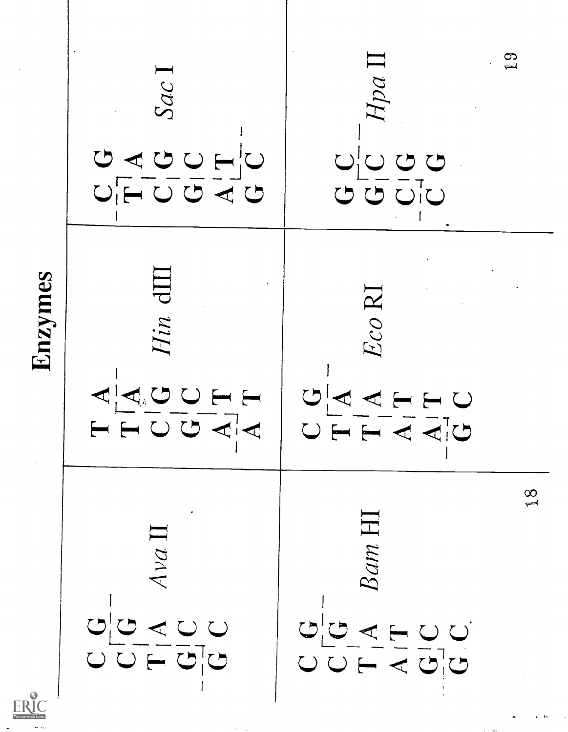

ERIC